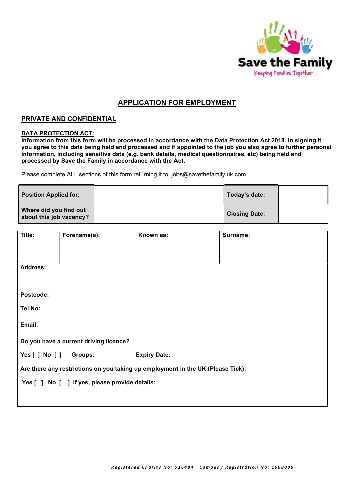

## APPLICATION FOR EMPLOYMENT

## PRIVATE AND CONFIDENTIAL

## DATA PROTECTION ACT:

Information from this form will be processed in accordance with the Data Protection Act 2018. In signing it you agree to this data being held and processed and if appointed to the job you also agree to further personal information, including sensitive data (e.g. bank details, medical questionnaires, etc) being held and processed by Save the Family in accordance with the Act.

Please complete ALL sections of this form returning it to: jobs@savethefamily.uk.com

| <b>Position Applied for:</b>                      | Today's date:        |  |
|---------------------------------------------------|----------------------|--|
| Where did you find out<br>about this job vacancy? | <b>Closing Date:</b> |  |

|                                                |                                                                                                    | Surname:                                                                                                            |
|------------------------------------------------|----------------------------------------------------------------------------------------------------|---------------------------------------------------------------------------------------------------------------------|
|                                                |                                                                                                    |                                                                                                                     |
|                                                |                                                                                                    |                                                                                                                     |
|                                                |                                                                                                    |                                                                                                                     |
|                                                |                                                                                                    |                                                                                                                     |
|                                                |                                                                                                    |                                                                                                                     |
|                                                |                                                                                                    |                                                                                                                     |
|                                                |                                                                                                    |                                                                                                                     |
|                                                |                                                                                                    |                                                                                                                     |
|                                                |                                                                                                    |                                                                                                                     |
|                                                |                                                                                                    |                                                                                                                     |
|                                                |                                                                                                    |                                                                                                                     |
|                                                |                                                                                                    |                                                                                                                     |
|                                                |                                                                                                    |                                                                                                                     |
|                                                |                                                                                                    |                                                                                                                     |
|                                                |                                                                                                    |                                                                                                                     |
|                                                |                                                                                                    |                                                                                                                     |
|                                                |                                                                                                    |                                                                                                                     |
|                                                |                                                                                                    |                                                                                                                     |
|                                                |                                                                                                    |                                                                                                                     |
|                                                |                                                                                                    |                                                                                                                     |
|                                                |                                                                                                    |                                                                                                                     |
|                                                |                                                                                                    |                                                                                                                     |
|                                                |                                                                                                    |                                                                                                                     |
|                                                |                                                                                                    |                                                                                                                     |
|                                                |                                                                                                    |                                                                                                                     |
|                                                |                                                                                                    |                                                                                                                     |
|                                                |                                                                                                    |                                                                                                                     |
| Yes [ ] No [ ] If yes, please provide details: |                                                                                                    |                                                                                                                     |
|                                                |                                                                                                    |                                                                                                                     |
|                                                |                                                                                                    |                                                                                                                     |
|                                                |                                                                                                    |                                                                                                                     |
|                                                | Forename(s):<br>Do you have a current driving licence?<br>Yes $[$ $]$ No $[$ $]$<br><b>Groups:</b> | Known as:<br><b>Expiry Date:</b><br>Are there any restrictions on you taking up employment in the UK (Please Tick): |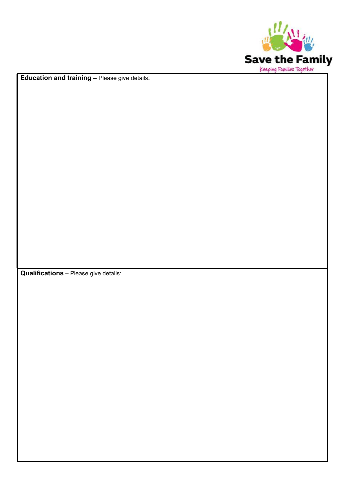

Education and training – Please give details:

Qualifications – Please give details: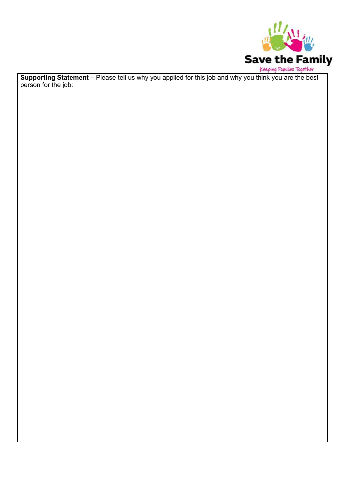

Keeping Families Together<br>Supporting Statement – Please tell us why you applied for this job and why you think you are the best person for the job: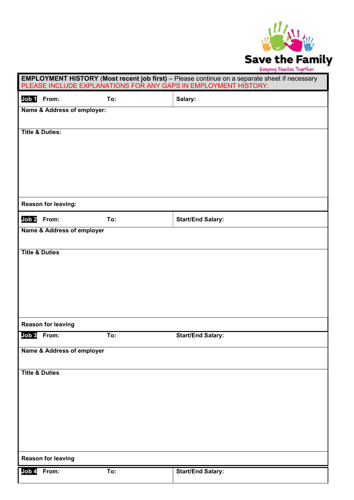

| <b>EMPLOYMENT HISTORY (Most recent job first)</b> - Please continue on a separate sheet if necessary<br>PLEASE INCLUDE EXPLANATIONS FOR ANY GAPS IN EMPLOYMENT HISTORY. |     |                          |
|-------------------------------------------------------------------------------------------------------------------------------------------------------------------------|-----|--------------------------|
| Job 1 From:                                                                                                                                                             | To: | Salary:                  |
| Name & Address of employer:                                                                                                                                             |     |                          |
| <b>Title &amp; Duties:</b>                                                                                                                                              |     |                          |
|                                                                                                                                                                         |     |                          |
|                                                                                                                                                                         |     |                          |
|                                                                                                                                                                         |     |                          |
|                                                                                                                                                                         |     |                          |
| Reason for leaving:                                                                                                                                                     |     |                          |
| Job <sub>2</sub><br>From:                                                                                                                                               | To: | <b>Start/End Salary:</b> |
| Name & Address of employer                                                                                                                                              |     |                          |
| <b>Title &amp; Duties</b>                                                                                                                                               |     |                          |
|                                                                                                                                                                         |     |                          |
|                                                                                                                                                                         |     |                          |
|                                                                                                                                                                         |     |                          |
|                                                                                                                                                                         |     |                          |
| <b>Reason for leaving</b>                                                                                                                                               |     |                          |
| Job 3 From:                                                                                                                                                             | To: | <b>Start/End Salary:</b> |
| Name & Address of employer                                                                                                                                              |     |                          |
| <b>Title &amp; Duties</b>                                                                                                                                               |     |                          |
|                                                                                                                                                                         |     |                          |
|                                                                                                                                                                         |     |                          |
|                                                                                                                                                                         |     |                          |
|                                                                                                                                                                         |     |                          |
|                                                                                                                                                                         |     |                          |
| <b>Reason for leaving</b>                                                                                                                                               |     |                          |
| Job 4<br>From:                                                                                                                                                          | To: | <b>Start/End Salary:</b> |
|                                                                                                                                                                         |     |                          |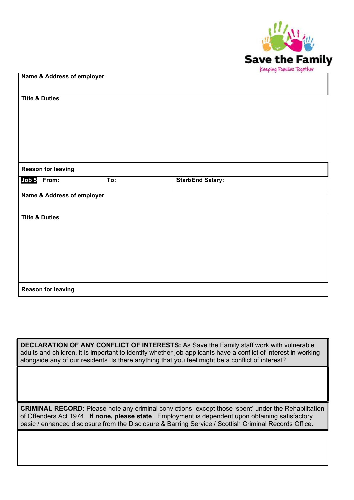

| Name & Address of employer |                            |                          |
|----------------------------|----------------------------|--------------------------|
|                            |                            |                          |
| <b>Title &amp; Duties</b>  |                            |                          |
|                            |                            |                          |
|                            |                            |                          |
|                            |                            |                          |
|                            |                            |                          |
|                            |                            |                          |
|                            |                            |                          |
|                            |                            |                          |
|                            |                            |                          |
| <b>Reason for leaving</b>  |                            |                          |
| Job 5 From:                | To:                        | <b>Start/End Salary:</b> |
|                            |                            |                          |
|                            | Name & Address of employer |                          |
|                            |                            |                          |
| <b>Title &amp; Duties</b>  |                            |                          |
|                            |                            |                          |
|                            |                            |                          |
|                            |                            |                          |
|                            |                            |                          |
|                            |                            |                          |
|                            |                            |                          |
|                            |                            |                          |
|                            |                            |                          |
| <b>Reason for leaving</b>  |                            |                          |

DECLARATION OF ANY CONFLICT OF INTERESTS: As Save the Family staff work with vulnerable adults and children, it is important to identify whether job applicants have a conflict of interest in working alongside any of our residents. Is there anything that you feel might be a conflict of interest?

CRIMINAL RECORD: Please note any criminal convictions, except those 'spent' under the Rehabilitation of Offenders Act 1974. If none, please state. Employment is dependent upon obtaining satisfactory basic / enhanced disclosure from the Disclosure & Barring Service / Scottish Criminal Records Office.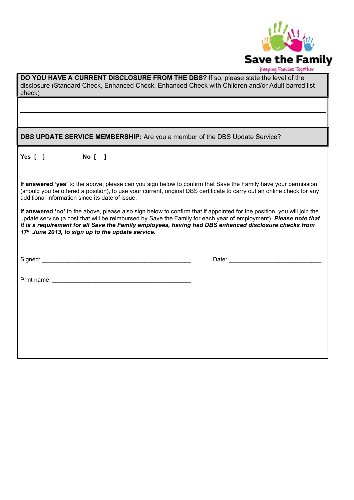

| DO YOU HAVE A CURRENT DISCLOSURE FROM THE DBS? If so, please state the level of the<br>disclosure (Standard Check, Enhanced Check, Enhanced Check with Children and/or Adult barred list<br>check)                                                                                                                                                                                                                   |                    |  |
|----------------------------------------------------------------------------------------------------------------------------------------------------------------------------------------------------------------------------------------------------------------------------------------------------------------------------------------------------------------------------------------------------------------------|--------------------|--|
|                                                                                                                                                                                                                                                                                                                                                                                                                      |                    |  |
|                                                                                                                                                                                                                                                                                                                                                                                                                      |                    |  |
| DBS UPDATE SERVICE MEMBERSHIP: Are you a member of the DBS Update Service?                                                                                                                                                                                                                                                                                                                                           |                    |  |
| Yes $[ ]$<br>No [ ]                                                                                                                                                                                                                                                                                                                                                                                                  |                    |  |
| If answered 'yes' to the above, please can you sign below to confirm that Save the Family have your permission<br>(should you be offered a position), to use your current, original DBS certificate to carry out an online check for any<br>additional information since its date of issue.                                                                                                                          |                    |  |
| If answered 'no' to the above, please also sign below to confirm that if appointed for the position, you will join the<br>update service (a cost that will be reimbursed by Save the Family for each year of employment). Please note that<br>it is a requirement for all Save the Family employees, having had DBS enhanced disclosure checks from<br>17 <sup>th</sup> June 2013, to sign up to the update service. |                    |  |
| Signed: Windows and Contract and Contract and Contract and Contract and Contract and Contract and Contract and                                                                                                                                                                                                                                                                                                       | Date: <u>Date:</u> |  |
|                                                                                                                                                                                                                                                                                                                                                                                                                      |                    |  |
|                                                                                                                                                                                                                                                                                                                                                                                                                      |                    |  |
|                                                                                                                                                                                                                                                                                                                                                                                                                      |                    |  |
|                                                                                                                                                                                                                                                                                                                                                                                                                      |                    |  |
|                                                                                                                                                                                                                                                                                                                                                                                                                      |                    |  |